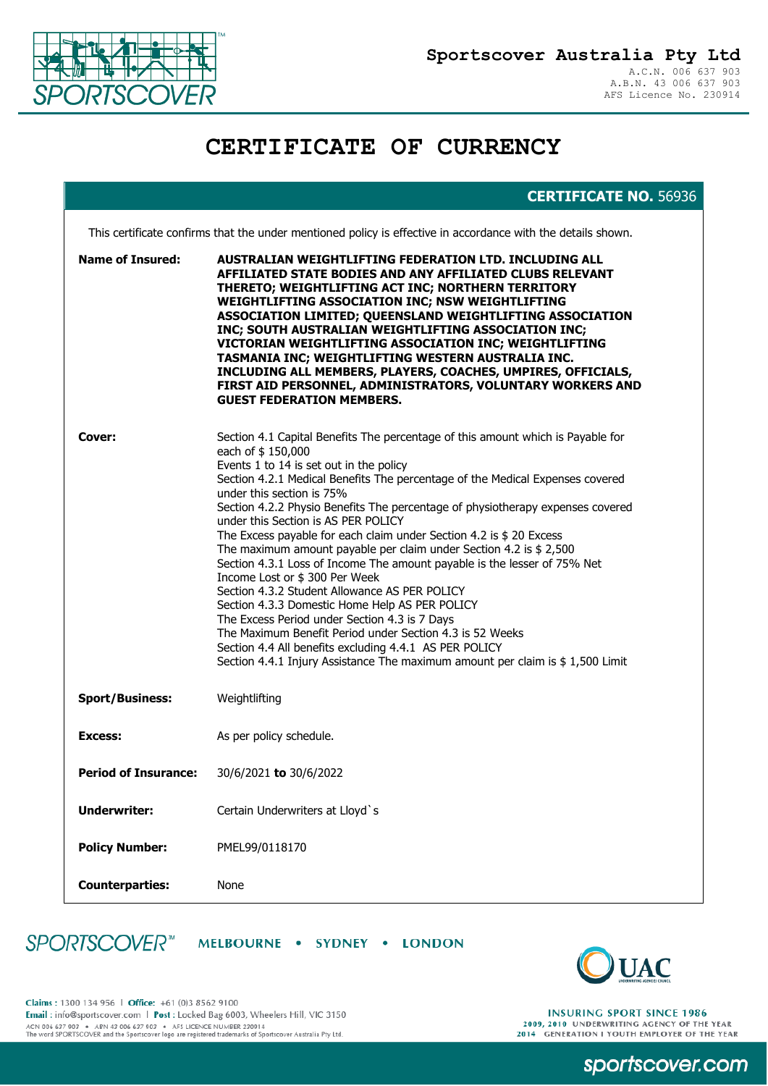

## **CERTIFICATE OF CURRENCY**

## **CERTIFICATE NO.** 56936

This certificate confirms that the under mentioned policy is effective in accordance with the details shown.

| <b>Name of Insured:</b>     | AUSTRALIAN WEIGHTLIFTING FEDERATION LTD. INCLUDING ALL<br>AFFILIATED STATE BODIES AND ANY AFFILIATED CLUBS RELEVANT<br>THERETO; WEIGHTLIFTING ACT INC; NORTHERN TERRITORY<br>WEIGHTLIFTING ASSOCIATION INC; NSW WEIGHTLIFTING<br>ASSOCIATION LIMITED; QUEENSLAND WEIGHTLIFTING ASSOCIATION<br>INC; SOUTH AUSTRALIAN WEIGHTLIFTING ASSOCIATION INC;<br>VICTORIAN WEIGHTLIFTING ASSOCIATION INC; WEIGHTLIFTING<br>TASMANIA INC; WEIGHTLIFTING WESTERN AUSTRALIA INC.<br>INCLUDING ALL MEMBERS, PLAYERS, COACHES, UMPIRES, OFFICIALS,<br>FIRST AID PERSONNEL, ADMINISTRATORS, VOLUNTARY WORKERS AND<br><b>GUEST FEDERATION MEMBERS.</b>                                                                                                                                                                                                                                                                                                                                                                        |
|-----------------------------|-------------------------------------------------------------------------------------------------------------------------------------------------------------------------------------------------------------------------------------------------------------------------------------------------------------------------------------------------------------------------------------------------------------------------------------------------------------------------------------------------------------------------------------------------------------------------------------------------------------------------------------------------------------------------------------------------------------------------------------------------------------------------------------------------------------------------------------------------------------------------------------------------------------------------------------------------------------------------------------------------------------|
| Cover:                      | Section 4.1 Capital Benefits The percentage of this amount which is Payable for<br>each of \$150,000<br>Events 1 to 14 is set out in the policy<br>Section 4.2.1 Medical Benefits The percentage of the Medical Expenses covered<br>under this section is 75%<br>Section 4.2.2 Physio Benefits The percentage of physiotherapy expenses covered<br>under this Section is AS PER POLICY<br>The Excess payable for each claim under Section 4.2 is \$ 20 Excess<br>The maximum amount payable per claim under Section 4.2 is $$2,500$<br>Section 4.3.1 Loss of Income The amount payable is the lesser of 75% Net<br>Income Lost or \$300 Per Week<br>Section 4.3.2 Student Allowance AS PER POLICY<br>Section 4.3.3 Domestic Home Help AS PER POLICY<br>The Excess Period under Section 4.3 is 7 Days<br>The Maximum Benefit Period under Section 4.3 is 52 Weeks<br>Section 4.4 All benefits excluding 4.4.1 AS PER POLICY<br>Section 4.4.1 Injury Assistance The maximum amount per claim is \$1,500 Limit |
| <b>Sport/Business:</b>      | Weightlifting                                                                                                                                                                                                                                                                                                                                                                                                                                                                                                                                                                                                                                                                                                                                                                                                                                                                                                                                                                                               |
| Excess:                     | As per policy schedule.                                                                                                                                                                                                                                                                                                                                                                                                                                                                                                                                                                                                                                                                                                                                                                                                                                                                                                                                                                                     |
| <b>Period of Insurance:</b> | 30/6/2021 to 30/6/2022                                                                                                                                                                                                                                                                                                                                                                                                                                                                                                                                                                                                                                                                                                                                                                                                                                                                                                                                                                                      |
| <b>Underwriter:</b>         | Certain Underwriters at Lloyd's                                                                                                                                                                                                                                                                                                                                                                                                                                                                                                                                                                                                                                                                                                                                                                                                                                                                                                                                                                             |
| <b>Policy Number:</b>       | PMEL99/0118170                                                                                                                                                                                                                                                                                                                                                                                                                                                                                                                                                                                                                                                                                                                                                                                                                                                                                                                                                                                              |
| <b>Counterparties:</b>      | None                                                                                                                                                                                                                                                                                                                                                                                                                                                                                                                                                                                                                                                                                                                                                                                                                                                                                                                                                                                                        |

SPORTSCOVER<sup>®</sup> MELBOURNE . SYDNEY . LONDON



sportscover.com